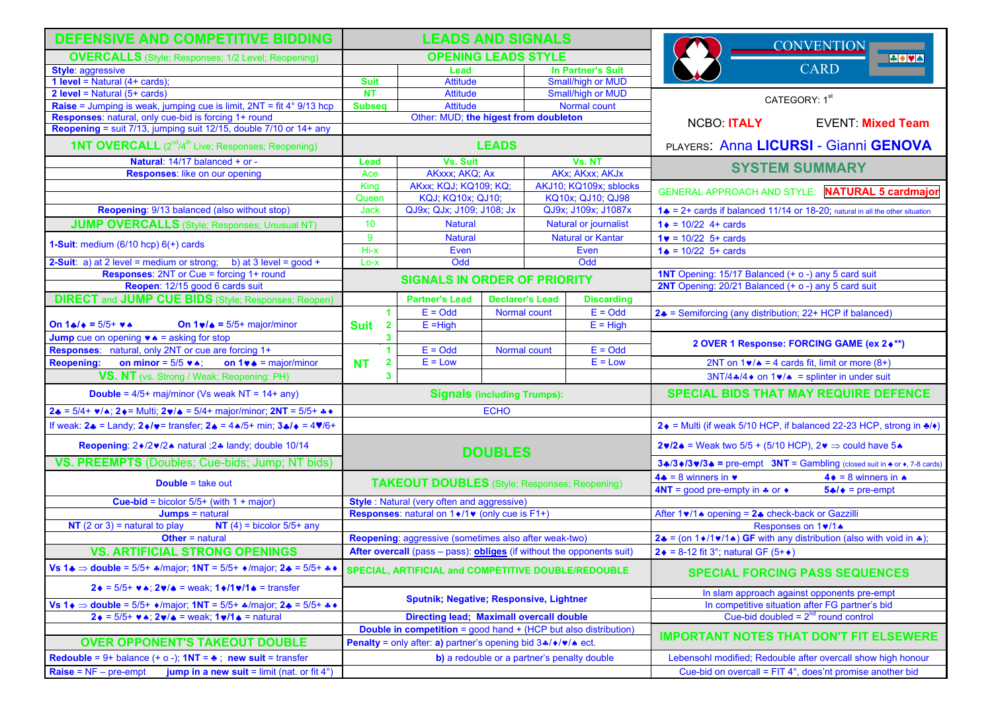| <b>DEFENSIVE AND COMPETITIVE BIDDING</b>                                                                                                                       | <b>LEADS AND SIGNALS</b>                                               |                                            |                                                                   |                       |                                                           | <b>CONVENTION</b>                                                              |                                                                                                   |
|----------------------------------------------------------------------------------------------------------------------------------------------------------------|------------------------------------------------------------------------|--------------------------------------------|-------------------------------------------------------------------|-----------------------|-----------------------------------------------------------|--------------------------------------------------------------------------------|---------------------------------------------------------------------------------------------------|
| <b>OVERCALLS</b> (Style; Responses; 1/2 Level; Reopening)                                                                                                      | <b>OPENING LEADS STYLE</b>                                             |                                            |                                                                   |                       |                                                           | $\rightarrow \bullet$                                                          |                                                                                                   |
| <b>Style: aggressive</b>                                                                                                                                       |                                                                        | Lead                                       |                                                                   | In Partner's Suit     |                                                           | <b>CARD</b>                                                                    |                                                                                                   |
| <b>1 level = Natural (4+ cards);</b>                                                                                                                           | <b>Suit</b>                                                            | <b>Attitude</b>                            |                                                                   |                       | Small/high or MUD                                         |                                                                                |                                                                                                   |
| $2 level = Natural (5 + cards)$                                                                                                                                | <b>NT</b>                                                              | <b>Attitude</b>                            |                                                                   |                       | Small/high or MUD                                         | CATEGORY: 1st                                                                  |                                                                                                   |
| <b>Raise</b> = Jumping is weak, jumping cue is limit, $2NT = fit 4° 9/13 hcp$                                                                                  | <b>Subseq</b>                                                          | <b>Attitude</b>                            |                                                                   | Normal count          |                                                           |                                                                                |                                                                                                   |
| Responses: natural, only cue-bid is forcing 1+ round                                                                                                           | Other: MUD; the higest from doubleton                                  |                                            |                                                                   |                       | NCBO: ITALY                                               | <b>EVENT: Mixed Team</b>                                                       |                                                                                                   |
| Reopening = suit 7/13, jumping suit 12/15, double 7/10 or 14+ any                                                                                              |                                                                        |                                            |                                                                   |                       |                                                           |                                                                                |                                                                                                   |
| <b>1NT OVERCALL</b> (2 <sup>nd</sup> /4 <sup>th</sup> Live; Responses; Reopening)                                                                              | <b>LEADS</b>                                                           |                                            |                                                                   |                       | PLAYERS: Anna LICURSI - Gianni GENOVA                     |                                                                                |                                                                                                   |
| Natural: 14/17 balanced + or -                                                                                                                                 | Lead                                                                   | Vs. Suit                                   |                                                                   |                       | Vs. NT                                                    | <b>SYSTEM SUMMARY</b>                                                          |                                                                                                   |
| <b>Responses:</b> like on our opening                                                                                                                          | Ace                                                                    | AKxxx; AKQ; Ax                             |                                                                   |                       | AKx; AKxx; AKJx                                           |                                                                                |                                                                                                   |
|                                                                                                                                                                | King                                                                   | <b>AKxx; KQJ; KQ109; KQ;</b>               |                                                                   |                       | AKJ10; KQ109x; sblocks                                    | GENERAL APPROACH AND STYLE: NATURAL 5 cardmajor                                |                                                                                                   |
|                                                                                                                                                                | Queen                                                                  | KQJ; KQ10x; QJ10;                          |                                                                   |                       | KQ10x; QJ10; QJ98                                         |                                                                                |                                                                                                   |
| Reopening: 9/13 balanced (also without stop)                                                                                                                   | Jack                                                                   | QJ9x; QJx; J109; J108; Jx                  |                                                                   |                       | QJ9x; J109x; J1087x                                       | 1. = $2+$ cards if balanced 11/14 or 18-20; natural in all the other situation |                                                                                                   |
| <b>JUMP OVERCALLS</b> (Style; Responses; Unusual NT)                                                                                                           | 10 <sub>1</sub>                                                        | <b>Natural</b>                             |                                                                   | Natural or journalist |                                                           | $1 \div 10/22$ 4+ cards                                                        |                                                                                                   |
|                                                                                                                                                                | 9                                                                      | <b>Natural or Kantar</b><br><b>Natural</b> |                                                                   |                       | $1 \cdot 1 = 10/22$ 5+ cards                              |                                                                                |                                                                                                   |
| 1-Suit: medium $(6/10$ hcp $)$ $6(+)$ cards                                                                                                                    | Hi-x                                                                   | Even                                       |                                                                   | Even                  |                                                           | $1 \triangle = 10/22$ 5+ cards                                                 |                                                                                                   |
| <b>2-Suit:</b> a) at 2 level = medium or strong; b) at 3 level = $good +$                                                                                      | Lo-x                                                                   | Odd                                        |                                                                   | Odd                   |                                                           |                                                                                |                                                                                                   |
| <b>Responses: 2NT or Cue = forcing 1+ round</b>                                                                                                                |                                                                        | <b>SIGNALS IN ORDER OF PRIORITY</b>        |                                                                   |                       |                                                           | 1NT Opening: 15/17 Balanced (+ o -) any 5 card suit                            |                                                                                                   |
| Reopen: 12/15 good 6 cards suit                                                                                                                                |                                                                        |                                            |                                                                   |                       |                                                           | 2NT Opening: 20/21 Balanced (+ o -) any 5 card suit                            |                                                                                                   |
| <b>DIRECT</b> and <b>JUMP CUE BIDS</b> (Style; Responses; Reopen)                                                                                              |                                                                        | <b>Partner's Lead</b>                      | <b>Declarer's Lead</b>                                            |                       | <b>Discarding</b>                                         |                                                                                |                                                                                                   |
|                                                                                                                                                                | 1                                                                      | $E = \text{Odd}$                           | Normal count                                                      |                       | $E = \text{Odd}$                                          | 24 = Semiforcing (any distribution; 22+ HCP if balanced)                       |                                                                                                   |
| On $1 \cdot 4 = 5/5 + \text{major/minor}$<br>On $14/4 = 5/5 + 44$                                                                                              | <b>Suit</b><br>$\overline{\mathbf{2}}$                                 | $E = High$                                 |                                                                   |                       | $\overline{E}$ = High                                     |                                                                                |                                                                                                   |
| <b>Jump</b> cue on opening $\bullet \bullet$ = asking for stop                                                                                                 | 3                                                                      |                                            |                                                                   |                       |                                                           |                                                                                |                                                                                                   |
| Responses: natural, only 2NT or cue are forcing 1+                                                                                                             | 1                                                                      | $E = \text{Odd}$                           | Normal count                                                      |                       | $E = \text{Odd}$                                          |                                                                                | 2 OVER 1 Response: FORCING GAME (ex 2+**)                                                         |
| on minor = $5/5$ $\vee \wedge$ ;<br><b>Reopening:</b><br>on $1 \cdot \bullet = \text{major/minor}$                                                             | $\overline{\mathbf{2}}$<br><b>NT</b>                                   | $E = Low$                                  |                                                                   |                       | $E = Low$                                                 |                                                                                | 2NT on $1\vee/$ = 4 cards fit, limit or more (8+)                                                 |
| VS. NT (vs. Strong / Weak; Reopening: PH)                                                                                                                      | $\overline{\mathbf{3}}$                                                |                                            |                                                                   |                       |                                                           |                                                                                | $3NT/4$ $\ast$ /4 $\ast$ on $1\cdot\cdot\cdot$ = splinter in under suit                           |
| <b>Double = 4/5+ maj/minor (Vs weak NT = 14+ any)</b>                                                                                                          | <b>Signals (including Trumps):</b>                                     |                                            |                                                                   |                       |                                                           | <b>SPECIAL BIDS THAT MAY REQUIRE DEFENCE</b>                                   |                                                                                                   |
| $2\clubsuit$ = 5/4+ $\triangledown/\spadesuit$ ; 2 $\triangledown =$ Multi; 2 $\triangledown/\spadesuit$ = 5/4+ major/minor; 2NT = 5/5+ $\clubsuit \spadesuit$ | <b>ECHO</b>                                                            |                                            |                                                                   |                       |                                                           |                                                                                |                                                                                                   |
| If weak: $2 \cdot 2 =$ Landy; $2 \cdot 1 =$ transfer; $2 \cdot 2 = 4 \cdot 15 +$ min; $3 \cdot 1 = 4 \cdot 16 +$                                               |                                                                        |                                            |                                                                   |                       |                                                           |                                                                                | 2 ♦ = Multi (if weak 5/10 HCP, if balanced 22-23 HCP, strong in $\clubsuit$ / $\blacklozenge$ )   |
| Reopening: 2+/2+/2+ natural ;2+ landy; double 10/14                                                                                                            | <b>DOUBLES</b>                                                         |                                            | 2♥/2♠ = Weak two 5/5 + (5/10 HCP), 2♥ $\Rightarrow$ could have 5♠ |                       |                                                           |                                                                                |                                                                                                   |
| VS. PREEMPTS (Doubles; Cue-bids; Jump; NT bids)                                                                                                                |                                                                        |                                            |                                                                   |                       |                                                           |                                                                                | 34/3 $\div$ /3 $\div$ /34 = pre-empt 3NT = Gambling (closed suit in $\div$ or $\div$ , 7-8 cards) |
|                                                                                                                                                                |                                                                        |                                            |                                                                   |                       |                                                           | $4 \cdot = 8$ winners in $\bullet$                                             | $4 \cdot = 8$ winners in $\triangle$                                                              |
| <b>Double = take out</b>                                                                                                                                       | <b>TAKEOUT DOUBLES</b> (Style; Responses; Reopening)                   |                                            |                                                                   |                       |                                                           | 4NT = good pre-empty in $\clubsuit$ or $\leftrightarrow$                       | $5 \cdot 1 \cdot 5$ = pre-empt                                                                    |
| Cue-bid = bicolor $5/5+$ (with 1 + major)                                                                                                                      | Style : Natural (very often and aggressive)                            |                                            |                                                                   |                       |                                                           |                                                                                |                                                                                                   |
| $Jumps = natural$                                                                                                                                              | Responses: natural on 1 +/1 v (only cue is F1+)                        |                                            |                                                                   |                       |                                                           | After 1v/1 <sup>*</sup> opening = 2 <sup>*</sup> check-back or Gazzilli        |                                                                                                   |
| NT $(2 \text{ or } 3)$ = natural to play<br>NT $(4)$ = bicolor 5/5+ any                                                                                        |                                                                        |                                            |                                                                   |                       |                                                           | Responses on 1v/1 <sup>*</sup>                                                 |                                                                                                   |
| <b>Other</b> = natural                                                                                                                                         | Reopening: aggressive (sometimes also after weak-two)                  |                                            |                                                                   |                       |                                                           | 2♣ = (on 1♦/1♥/1♠) GF with any distribution (also with void in ♣);             |                                                                                                   |
| <b>VS. ARTIFICIAL STRONG OPENINGS</b>                                                                                                                          | After overcall (pass - pass): obliges (if without the opponents suit)  |                                            |                                                                   |                       |                                                           | $2 \div = 8 - 12$ fit 3°; natural GF (5+ $\div$ )                              |                                                                                                   |
| Vs 1⊕ $\Rightarrow$ double = 5/5+ $\ast$ /major; 1NT = 5/5+ $\ast$ /major; 2⊕ = 5/5+ $\ast \ast$                                                               | SPECIAL, ARTIFICIAL and COMPETITIVE DOUBLE/REDOUBLE                    |                                            |                                                                   |                       |                                                           |                                                                                | <b>SPECIAL FORCING PASS SEQUENCES</b>                                                             |
| $2 \div 5/5 + \vee \wedge$ ; $2 \sqrt{2} = \text{weak}$ ; $1 \div 1 \sqrt{1} \div 5 = \text{transfer}$                                                         |                                                                        |                                            |                                                                   |                       | In slam approach against opponents pre-empt               |                                                                                |                                                                                                   |
| Vs 1 $\bullet$ ⇒ double = 5/5+ $\bullet$ /major; 1NT = 5/5+ $\clubsuit$ /major; 2 $\clubsuit$ = 5/5+ $\clubsuit \bullet$                                       | <b>Sputnik; Negative; Responsive, Lightner</b>                         |                                            |                                                                   |                       | In competitive situation after FG partner's bid           |                                                                                |                                                                                                   |
| $2 \cdot = 5/5 + \cdot \cdot \cdot$ ; $2 \cdot / \cdot =$ weak; $1 \cdot / 1 \cdot =$ natural                                                                  | <b>Directing lead; Maximall overcall double</b>                        |                                            |                                                                   |                       |                                                           | Cue-bid doubled = $2^{nd}$ round control                                       |                                                                                                   |
|                                                                                                                                                                | <b>Double in competition = good hand + (HCP but also distribution)</b> |                                            |                                                                   |                       | <b>IMPORTANT NOTES THAT DON'T FIT ELSEWERE</b>            |                                                                                |                                                                                                   |
| <b>OVER OPPONENT'S TAKEOUT DOUBLE</b>                                                                                                                          | Penalty = only after: a) partner's opening bid 3*/*/*/* ect.           |                                            |                                                                   |                       |                                                           |                                                                                |                                                                                                   |
| Redouble = $9+$ balance (+ o -); $1NT =$ $\bullet$ ; new suit = transfer                                                                                       | b) a redouble or a partner's penalty double                            |                                            |                                                                   |                       |                                                           | Lebensohl modified; Redouble after overcall show high honour                   |                                                                                                   |
| $Raise = NF - pre-empt$<br>jump in a new suit = $limit$ (nat. or fit $4^{\circ}$ )                                                                             |                                                                        |                                            |                                                                   |                       | Cue-bid on overcall = FIT 4°, does'nt promise another bid |                                                                                |                                                                                                   |